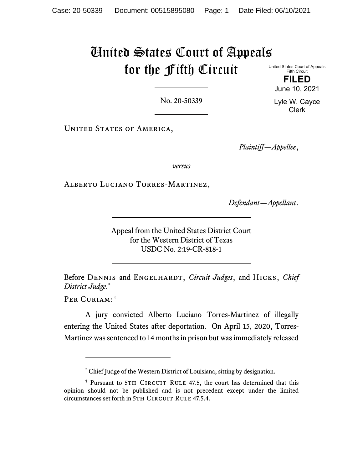## United States Court of Appeals for the Fifth Circuit

United States Court of Appeals Fifth Circuit

> **FILED** June 10, 2021

> Lyle W. Cayce Clerk

No. 20-50339

UNITED STATES OF AMERICA,

*Plaintiff—Appellee*,

*versus*

Alberto Luciano Torres-Martinez,

*Defendant—Appellant*.

Appeal from the United States District Court for the Western District of Texas USDC No. 2:19-CR-818-1

Before Dennis and Engelhardt, *Circuit Judges*, and Hicks, *Chief District Judge*. [\\*](#page-0-0)

Per Curiam:[†](#page-0-1)

A jury convicted Alberto Luciano Torres-Martinez of illegally entering the United States after deportation. On April 15, 2020, Torres-Martinez was sentenced to 14 months in prison but was immediately released

<sup>\*</sup> Chief Judge of the Western District of Louisiana, sitting by designation.

<span id="page-0-1"></span><span id="page-0-0"></span><sup>&</sup>lt;sup>†</sup> Pursuant to 5TH CIRCUIT RULE 47.5, the court has determined that this opinion should not be published and is not precedent except under the limited circumstances set forth in 5TH CIRCUIT RULE 47.5.4.